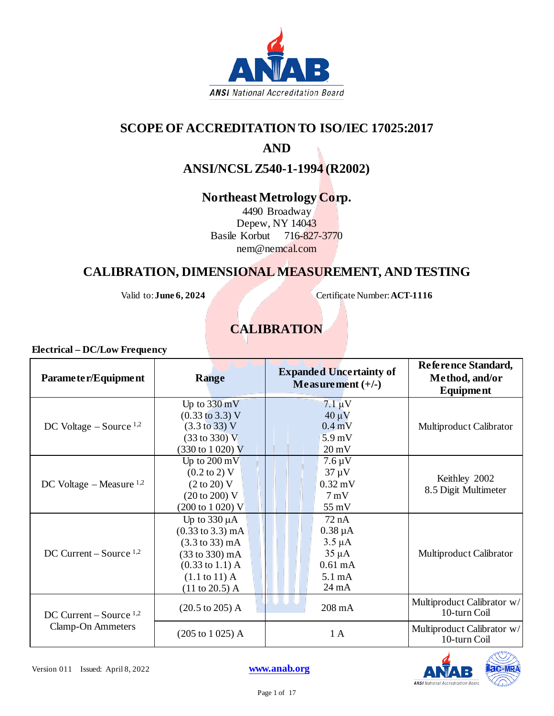

## **SCOPE OF ACCREDITATION TO ISO/IEC 17025:2017**

## **AND**

**ANSI/NCSL Z540-1-1994 (R2002)**

## **Northeast Metrology Corp.**

4490 Broadway Depew, NY 14043 Basile Korbut 716-827-3770 nem@nemcal.com

## **CALIBRATION, DIMENSIONAL MEASUREMENT, AND TESTING**

Valid to: **June 6, 2024** Certificate Number: **ACT-1116** 

# **CALIBRATION**

| Parameter/Equipment                            | <b>Range</b>                                                                                                                                                                                          | <b>Expanded Uncertainty of</b><br>Measurement $(+/-)$                                                          | Reference Standard,<br>Method, and/or<br><b>Equipment</b> |
|------------------------------------------------|-------------------------------------------------------------------------------------------------------------------------------------------------------------------------------------------------------|----------------------------------------------------------------------------------------------------------------|-----------------------------------------------------------|
| DC Voltage $-$ Source $^{1,2}$                 | Up to $330 \text{ mV}$<br>$(0.33 \text{ to } 3.3) \text{ V}$<br>$(3.3 \text{ to } 33) \text{ V}$<br>$(33 \text{ to } 330) \text{ V}$<br>$(330 \text{ to } 1020) \text{ V}$                            | $7.1 \,\mathrm{\upmu V}$<br>$40 \mu V$<br>$0.4 \text{ mV}$<br>5.9 <sub>mV</sub><br>$20 \text{ mV}$             | Multiproduct Calibrator                                   |
| DC Voltage – Measure $1,2$                     | Up to $200 \text{ mV}$<br>$(0.2 \text{ to } 2)$ V<br>(2 to 20) V<br>(20 to 200) V<br>$(200 \text{ to } 1020) \text{ V}$                                                                               | $7.6 \mu V$<br>$37 \mu V$<br>$0.32 \text{ mV}$<br>$7 \text{ mV}$<br>55 mV                                      | Keithley 2002<br>8.5 Digit Multimeter                     |
| DC Current – Source $1,2$                      | Up to $330 \mu A$<br>$(0.33 \text{ to } 3.3) \text{ mA}$<br>$(3.3 \text{ to } 33) \text{ mA}$<br>(33 to 330) mA<br>$(0.33 \text{ to } 1.1) \text{ A}$<br>$(1.1 \text{ to } 11)$ A<br>$(11 to 20.5)$ A | 72 nA<br>$0.38 \mu A$<br>$3.5 \mu A$<br>$35 \mu A$<br>$0.61 \text{ mA}$<br>$5.1 \text{ mA}$<br>$24 \text{ mA}$ | <b>Multiproduct Calibrator</b>                            |
| DC Current – Source $1,2$<br>Clamp-On Ammeters | $(20.5 \text{ to } 205)$ A                                                                                                                                                                            | $208 \text{ mA}$                                                                                               | Multiproduct Calibrator w/<br>10-turn Coil                |
|                                                | $(205 \text{ to } 1025)$ A                                                                                                                                                                            | 1A                                                                                                             | Multiproduct Calibrator w/<br>10-turn Coil                |

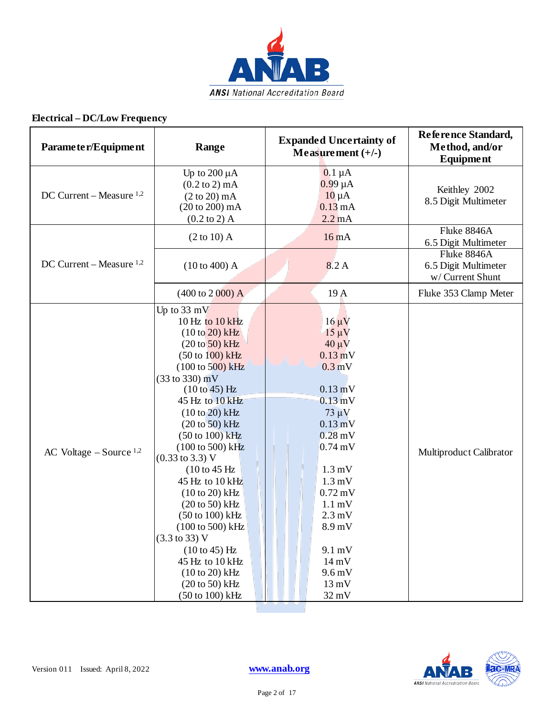

| Parameter/Equipment            | Range                                                                                                                                                                                                                                                                                                                                                                                                                                                                                                                                                                                                                                                                                                               | <b>Expanded Uncertainty of</b><br>Measurement $(+/-)$                                                                                                                                                                                                                                                                                                                                                                         | Reference Standard,<br>Method, and/or<br><b>Equipment</b> |
|--------------------------------|---------------------------------------------------------------------------------------------------------------------------------------------------------------------------------------------------------------------------------------------------------------------------------------------------------------------------------------------------------------------------------------------------------------------------------------------------------------------------------------------------------------------------------------------------------------------------------------------------------------------------------------------------------------------------------------------------------------------|-------------------------------------------------------------------------------------------------------------------------------------------------------------------------------------------------------------------------------------------------------------------------------------------------------------------------------------------------------------------------------------------------------------------------------|-----------------------------------------------------------|
| DC Current – Measure $1,2$     | Up to $200 \mu A$<br>$(0.2 \text{ to } 2) \text{ mA}$<br>$(2 to 20)$ mA<br>$(20 to 200)$ mA<br>$(0.2 \text{ to } 2)$ A                                                                                                                                                                                                                                                                                                                                                                                                                                                                                                                                                                                              | $0.1 \mu A$<br>$0.99 \mu A$<br>$10 \mu A$<br>0.13mA<br>$2.2 \text{ mA}$                                                                                                                                                                                                                                                                                                                                                       | Keithley 2002<br>8.5 Digit Multimeter                     |
|                                | $(2 to 10)$ A                                                                                                                                                                                                                                                                                                                                                                                                                                                                                                                                                                                                                                                                                                       | 16mA                                                                                                                                                                                                                                                                                                                                                                                                                          | Fluke 8846A<br>6.5 Digit Multimeter                       |
| DC Current – Measure $1,2$     | (10 to 400) A                                                                                                                                                                                                                                                                                                                                                                                                                                                                                                                                                                                                                                                                                                       | 8.2 A                                                                                                                                                                                                                                                                                                                                                                                                                         | Fluke 8846A<br>6.5 Digit Multimeter<br>w/ Current Shunt   |
|                                | $(400 \text{ to } 2000)$ A                                                                                                                                                                                                                                                                                                                                                                                                                                                                                                                                                                                                                                                                                          | 19 A                                                                                                                                                                                                                                                                                                                                                                                                                          | Fluke 353 Clamp Meter                                     |
| AC Voltage $-$ Source $^{1,2}$ | Up to $33 \text{ mV}$<br>10 Hz to $10$ kHz<br>$(10 \text{ to } 20)$ kHz<br>$(20 to 50)$ kHz<br>$(50 \text{ to } 100) \text{ kHz}$<br>(100 to 500) kHz<br>$(33 \text{ to } 330) \text{ mV}$<br>(10 to 45) Hz<br>45 Hz to 10 kHz<br>$(10 to 20)$ kHz<br>$(20 to 50)$ kHz<br>$(50 \text{ to } 100) \text{ kHz}$<br>$(100 \text{ to } 500) \text{ kHz}$<br>$(0.33 \text{ to } 3.3) \text{ V}$<br>$(10 \text{ to } 45 \text{ Hz})$<br>45 Hz to 10 kHz<br>$(10 to 20)$ kHz<br>$(20 \text{ to } 50)$ kHz<br>$(50 \text{ to } 100) \text{ kHz}$<br>(100 to 500) kHz<br>$(3.3 \text{ to } 33) \text{ V}$<br>$(10 to 45)$ Hz<br>45 Hz to 10 kHz<br>$(10 to 20)$ kHz<br>$(20 to 50)$ kHz<br>$(50 \text{ to } 100) \text{ kHz}$ | $16 \mu V$<br>$15 \mu V$<br>$40 \mu V$<br>$0.13 \text{ mV}$<br>$0.3$ mV<br>$0.13 \text{ mV}$<br>$0.13 \text{ mV}$<br>$73 \mu V$<br>$0.13 \text{ mV}$<br>$0.28 \text{ mV}$<br>$0.74 \text{ mV}$<br>$1.3 \text{ mV}$<br>$1.3 \text{ mV}$<br>$0.72 \text{ mV}$<br>$1.1 \text{ mV}$<br>$2.3 \text{ mV}$<br>8.9 <sub>m</sub> V<br>$9.1 \text{ mV}$<br>$14 \text{ mV}$<br>$9.6 \,\mathrm{mV}$<br>$13 \text{ mV}$<br>$32 \text{ mV}$ | Multiproduct Calibrator                                   |

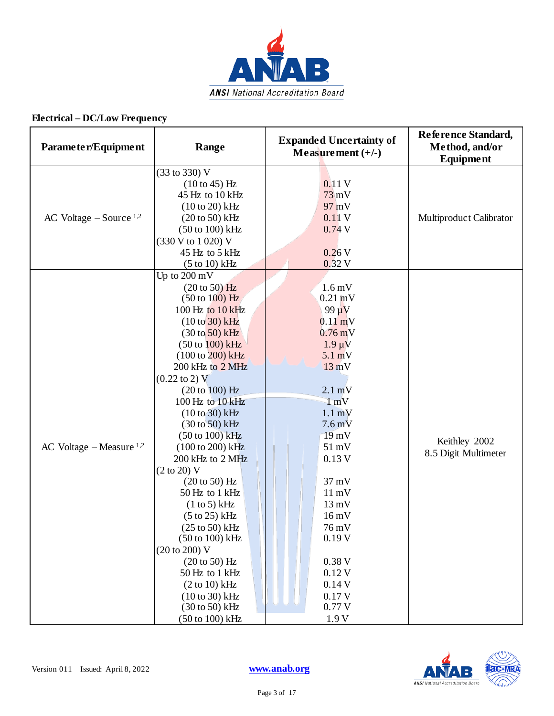

| Parameter/Equipment            | Range                                                                                                                                                                                                                                                                                                                                                                                                                                                                                                                                                                                                                                                                                                                       | <b>Expanded Uncertainty of</b><br>Measurement $(+/-)$                                                                                                                                                                                                                                                                                                                                                                              | Reference Standard,<br>Method, and/or<br>Equipment |
|--------------------------------|-----------------------------------------------------------------------------------------------------------------------------------------------------------------------------------------------------------------------------------------------------------------------------------------------------------------------------------------------------------------------------------------------------------------------------------------------------------------------------------------------------------------------------------------------------------------------------------------------------------------------------------------------------------------------------------------------------------------------------|------------------------------------------------------------------------------------------------------------------------------------------------------------------------------------------------------------------------------------------------------------------------------------------------------------------------------------------------------------------------------------------------------------------------------------|----------------------------------------------------|
| AC Voltage $-$ Source $^{1,2}$ | (33 to 330) V<br>$(10 to 45)$ Hz<br>45 Hz to 10 kHz<br>$(10 to 20)$ kHz<br>$(20 to 50)$ kHz<br>(50 to 100) kHz<br>(330 V to 1 020) V<br>45 Hz to 5 kHz<br>$(5 \text{ to } 10) \text{ kHz}$                                                                                                                                                                                                                                                                                                                                                                                                                                                                                                                                  | 0.11V<br>$73$ mV<br>97 mV<br>0.11V<br>0.74V<br>0.26V<br>0.32 V                                                                                                                                                                                                                                                                                                                                                                     | Multiproduct Calibrator                            |
| AC Voltage – Measure $1,2$     | Up to 200 mV<br>$(20 to 50)$ Hz<br>$(50 \text{ to } 100)$ Hz<br>100 Hz to 10 kHz<br>$(10 to 30)$ kHz<br>$(30 \text{ to } 50)$ kHz<br>$(50 \text{ to } 100) \text{ kHz}$<br>$(100 \text{ to } 200) \text{ kHz}$<br>200 kHz to 2 MHz<br>$(0.22 \text{ to } 2) \text{ V}$<br>(20 to 100) Hz<br>100 Hz to 10 kHz<br>$(10 to 30)$ kHz<br>$(30 \text{ to } 50)$ kHz<br>(50 to 100) kHz<br>(100 to 200) kHz<br>200 kHz to 2 MHz<br>(2 to 20) V<br>(20 to 50) Hz<br>50 Hz to 1 kHz<br>(1 to 5) kHz<br>$(5 \text{ to } 25)$ kHz<br>$(25 \text{ to } 50)$ kHz<br>$(50 \text{ to } 100) \text{ kHz}$<br>(20 to 200) V<br>$(20 to 50)$ Hz<br>50 Hz to 1 kHz<br>$(2 to 10)$ kHz<br>$(10 to 30)$ kHz<br>(30 to 50) kHz<br>(50 to 100) kHz | $1.6 \,\mathrm{mV}$<br>$0.21 \text{ mV}$<br>$99 \mu V$<br>$0.11 \text{ mV}$<br>$0.76 \,\mathrm{mV}$<br>$1.9 \mu V$<br>$5.1 \text{ mV}$<br>$13 \text{ mV}$<br>$2.1 \text{ mV}$<br>1 mV<br>$1.1 \text{ mV}$<br>$7.6 \text{ mV}$<br>$19 \text{ mV}$<br>$51 \text{ mV}$<br>0.13V<br>$37 \text{ mV}$<br>$11 \text{ mV}$<br>$13 \text{ mV}$<br>$16 \,\mathrm{mV}$<br>76 mV<br>0.19V<br>0.38V<br>0.12V<br>0.14V<br>0.17V<br>0.77V<br>1.9V | Keithley 2002<br>8.5 Digit Multimeter              |

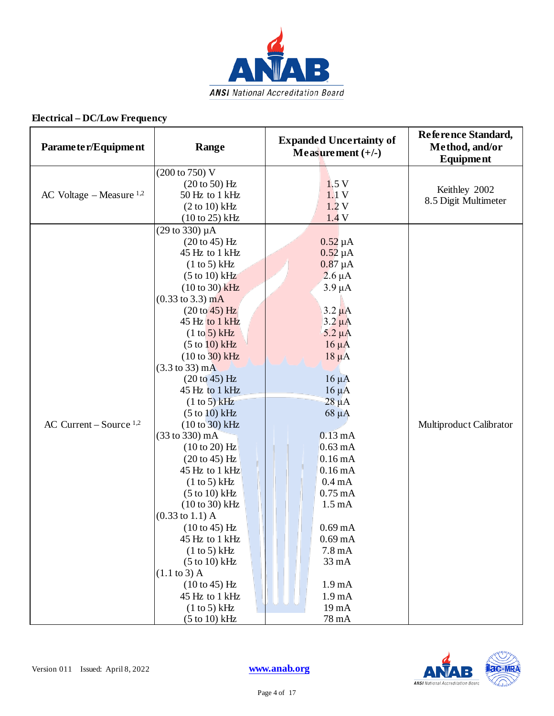

| Parameter/Equipment        | Range                                                                                                                                                                                                                                                                                                                                                                                                                                                                                                                                                                                                                                                                                                                                    | <b>Expanded Uncertainty of</b><br>Measurement $(+/-)$                                                                                                                                                                                                                                                                                                                                                                                                                                 | Reference Standard,<br>Method, and/or<br><b>Equipment</b> |
|----------------------------|------------------------------------------------------------------------------------------------------------------------------------------------------------------------------------------------------------------------------------------------------------------------------------------------------------------------------------------------------------------------------------------------------------------------------------------------------------------------------------------------------------------------------------------------------------------------------------------------------------------------------------------------------------------------------------------------------------------------------------------|---------------------------------------------------------------------------------------------------------------------------------------------------------------------------------------------------------------------------------------------------------------------------------------------------------------------------------------------------------------------------------------------------------------------------------------------------------------------------------------|-----------------------------------------------------------|
| AC Voltage – Measure $1,2$ | (200 to 750) V<br>$(20 to 50)$ Hz<br>50 Hz to 1 kHz<br>$(2 to 10)$ kHz<br>$(10 \text{ to } 25) \text{ kHz}$                                                                                                                                                                                                                                                                                                                                                                                                                                                                                                                                                                                                                              | 1.5V<br>1.1V<br>1.2V<br>1.4V                                                                                                                                                                                                                                                                                                                                                                                                                                                          | Keithley 2002<br>8.5 Digit Multimeter                     |
| AC Current – Source $1,2$  | $(29 \text{ to } 330) \mu\text{A}$<br>$(20 to 45)$ Hz<br>45 Hz to 1 kHz<br>(1 to 5) kHz<br>$(5 to 10)$ kHz<br>$(10 to 30)$ kHz<br>$(0.33 \text{ to } 3.3) \text{ mA}$<br>(20 to 45) Hz<br>45 Hz to 1 kHz<br>(1 to 5) kHz<br>(5 to 10) kHz<br>$(10 to 30)$ kHz<br>$(3.3 \text{ to } 33) \text{ mA}$<br>$(20 to 45)$ Hz<br>45 Hz to 1 kHz<br>(1 to 5) kHz<br>$(5 to 10)$ kHz<br>$(10 to 30)$ kHz<br>(33 to 330) mA<br>$(10 to 20)$ Hz<br>$(20 to 45)$ Hz<br>45 Hz to 1 kHz<br>(1 to 5) kHz<br>$(5 to 10)$ kHz<br>$(10 to 30)$ kHz<br>$(0.33 \text{ to } 1.1)$ A<br>$(10 to 45)$ Hz<br>45 Hz to 1 kHz<br>(1 to 5) kHz<br>$(5 to 10)$ kHz<br>$(1.1 \text{ to } 3)$ A<br>$(10 to 45)$ Hz<br>45 Hz to 1 kHz<br>(1 to 5) kHz<br>$(5 to 10)$ kHz | $0.52 \mu A$<br>$0.52 \mu A$<br>$0.87 \mu A$<br>$2.6 \mu A$<br>$3.9 \mu A$<br>$3.2 \mu A$<br>$3.2 \mu A$<br>$5.2 \mu A$<br>$16 \mu A$<br>$18 \mu A$<br>$16 \mu A$<br>$16 \mu A$<br>$28 \mu A$<br>$68 \mu A$<br>$0.13 \text{ mA}$<br>$0.63 \text{ mA}$<br>0.16mA<br>0.16mA<br>$0.4 \text{ mA}$<br>$0.75 \text{ mA}$<br>$1.5 \text{ mA}$<br>$0.69 \text{ mA}$<br>$0.69 \text{ mA}$<br>$7.8 \text{ mA}$<br>33 mA<br>1.9 <sub>mA</sub><br>1.9 <sub>m</sub> A<br>19 <sub>mA</sub><br>78 mA | Multiproduct Calibrator                                   |

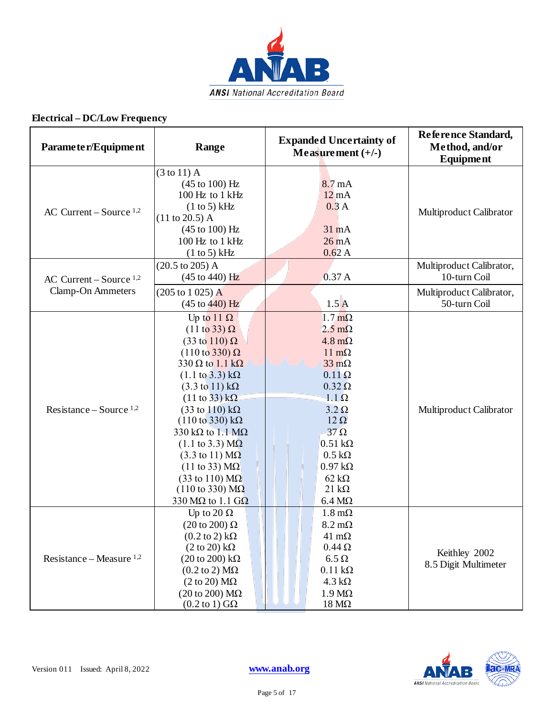

| Parameter/Equipment        | Range                                                                                                                                                                                                                                                                                                                                                                                                                                                                                                                                                                                                                                                       | <b>Expanded Uncertainty of</b><br>Measurement $(+/-)$                                                                                                                                                                                                                                                                                                    | Reference Standard,<br>Method, and/or<br>Equipment |
|----------------------------|-------------------------------------------------------------------------------------------------------------------------------------------------------------------------------------------------------------------------------------------------------------------------------------------------------------------------------------------------------------------------------------------------------------------------------------------------------------------------------------------------------------------------------------------------------------------------------------------------------------------------------------------------------------|----------------------------------------------------------------------------------------------------------------------------------------------------------------------------------------------------------------------------------------------------------------------------------------------------------------------------------------------------------|----------------------------------------------------|
| AC Current – Source $1,2$  | $(3 \text{ to } 11)$ A<br>$(45 \text{ to } 100) \text{ Hz}$<br>100 Hz to 1 kHz<br>(1 to 5) kHz<br>$(11 to 20.5)$ A<br>$(45 \text{ to } 100) \text{ Hz}$<br>100 Hz to 1 kHz<br>(1 to 5) kHz                                                                                                                                                                                                                                                                                                                                                                                                                                                                  | 8.7 <sub>mA</sub><br>$12 \text{ mA}$<br>0.3A<br>31 mA<br>26mA<br>0.62A                                                                                                                                                                                                                                                                                   | Multiproduct Calibrator                            |
| AC Current – Source $1,2$  | $(20.5 \text{ to } 205)$ A<br>$(45 \text{ to } 440) \text{ Hz}$                                                                                                                                                                                                                                                                                                                                                                                                                                                                                                                                                                                             | 0.37A                                                                                                                                                                                                                                                                                                                                                    | Multiproduct Calibrator,<br>10-turn Coil           |
| <b>Clamp-On Ammeters</b>   | $(205 \text{ to } 1025) \text{ A}$<br>$(45 \text{ to } 440)$ Hz                                                                                                                                                                                                                                                                                                                                                                                                                                                                                                                                                                                             | $1.5\text{A}$                                                                                                                                                                                                                                                                                                                                            | Multiproduct Calibrator,<br>50-turn Coil           |
| Resistance – Source $1,2$  | Up to 11 $\Omega$<br>$(11 to 33) \Omega$<br>$(33 \text{ to } 110) \Omega$<br>$(110 \text{ to } 330) \Omega$<br>330 $\Omega$ to 1.1 k $\Omega$<br>$(1.1 \text{ to } 3.3) \text{ k}\Omega$<br>$(3.3 \text{ to } 11) \text{ k}\Omega$<br>$(11 \text{ to } 33) \text{ k}\Omega$<br>$(33 \text{ to } 110) \text{ k}\Omega$<br>$(110 \text{ to } 330) \text{ k}\Omega$<br>330 k $\Omega$ to 1.1 M $\Omega$<br>$(1.1 \text{ to } 3.3) \text{ M}\Omega$<br>$(3.3 \text{ to } 11) \text{ M}\Omega$<br>$(11 \text{ to } 33) \text{ M}\Omega$<br>$(33 \text{ to } 110) \text{ M}\Omega$<br>$(110 \text{ to } 330) \text{ M}\Omega$<br>330 M $\Omega$ to 1.1 G $\Omega$ | $1.7 \text{ m}\Omega$<br>$2.5 \text{ m}\Omega$<br>$4.8 \text{ m}\Omega$<br>$11 \text{ m}\Omega$<br>$33 \text{ mA}$<br>$0.11 \Omega$<br>$0.32 \Omega$<br>$1.1 \Omega$<br>$3.2 \Omega$<br>$12 \Omega$<br>$37 \Omega$<br>$0.51 \text{ k}\Omega$<br>$0.5 \text{ k}\Omega$<br>$0.97 \text{ k}\Omega$<br>$62 \text{ k}\Omega$<br>$21 k\Omega$<br>$6.4 M\Omega$ | Multiproduct Calibrator                            |
| Resistance – Measure $1,2$ | Up to 20 $\Omega$<br>$(20 \text{ to } 200) \Omega$<br>$(0.2 \text{ to } 2) \text{ k}\Omega$<br>$(2 \text{ to } 20) \text{ k}\Omega$<br>$(20 \text{ to } 200) \text{ k}\Omega$<br>$(0.2 \text{ to } 2) \text{ M}\Omega$<br>$(2 \text{ to } 20) \text{ M}\Omega$<br>$(20 \text{ to } 200) \text{ M}\Omega$<br>$(0.2 \text{ to } 1)$ GQ                                                                                                                                                                                                                                                                                                                        | $1.8 \text{ m}\Omega$<br>$8.2 \text{ m}\Omega$<br>$41 \text{ m}\Omega$<br>$0.44\,\Omega$<br>$6.5 \Omega$<br>$0.11 \text{ k}\Omega$<br>$4.3 k\Omega$<br>$1.9 M\Omega$<br>$18 \text{ M}\Omega$                                                                                                                                                             | Keithley 2002<br>8.5 Digit Multimeter              |

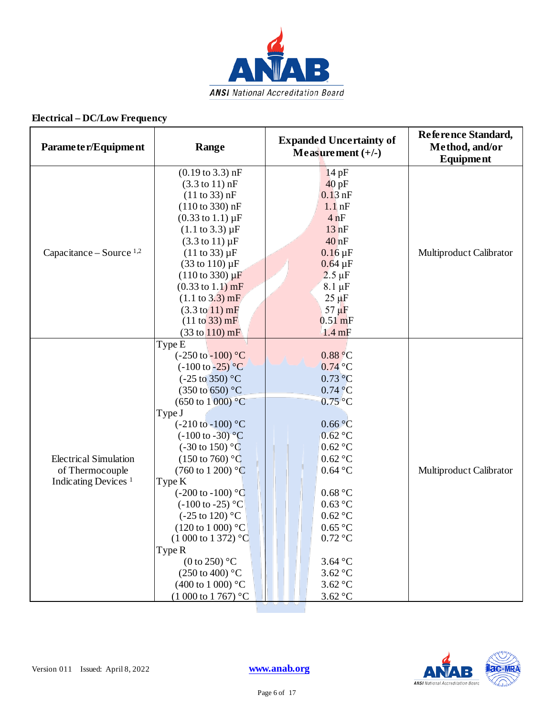

| Parameter/Equipment                                                                | Range                                                                                                                                                                                                                                                                                                                                                                                                                                                                                                                                                                                                                                                      | <b>Expanded Uncertainty of</b><br>Measurement $(+/-)$                                                                                                                                                                                                                            | Reference Standard,<br>Method, and/or<br>Equipment |
|------------------------------------------------------------------------------------|------------------------------------------------------------------------------------------------------------------------------------------------------------------------------------------------------------------------------------------------------------------------------------------------------------------------------------------------------------------------------------------------------------------------------------------------------------------------------------------------------------------------------------------------------------------------------------------------------------------------------------------------------------|----------------------------------------------------------------------------------------------------------------------------------------------------------------------------------------------------------------------------------------------------------------------------------|----------------------------------------------------|
| Capacitance – Source $1,2$                                                         | $(0.19 \text{ to } 3.3) \text{ nF}$<br>$(3.3 \text{ to } 11) \text{ nF}$<br>(11 to 33) nF<br>$(110 \text{ to } 330) \text{ nF}$<br>$(0.33 \text{ to } 1.1) \mu F$<br>$(1.1 \text{ to } 3.3) \mu F$<br>$(3.3 \text{ to } 11) \mu F$<br>$(11 to 33) \,\mu F$<br>$(33 \text{ to } 110) \,\mu\text{F}$<br>$(110 \text{ to } 330) \mu F$<br>$(0.33 \text{ to } 1.1) \text{ mF}$<br>$(1.1 \text{ to } 3.3) \text{ mF}$<br>$(3.3 \text{ to } 11) \text{ mF}$<br>(11 to 33) mF<br>$(33 \text{ to } 110) \text{ mF}$                                                                                                                                                | 14pF<br>40pF<br>$0.13$ nF<br>$1.1$ <sub>nF</sub><br>4nF<br>13nF<br>40 <sub>nF</sub><br>$0.16 \,\mathrm{\upmu F}$<br>$0.64 \,\mathrm{\upmu F}$<br>$2.5 \mu F$<br>$8.1 \mu F$<br>$25 \mu F$<br>$57 \mu F$<br>$0.51$ mF<br>$1.4 \text{ mF}$                                         | Multiproduct Calibrator                            |
| <b>Electrical Simulation</b><br>of Thermocouple<br>Indicating Devices <sup>1</sup> | Type E<br>$(-250 \text{ to } -100)$ °C<br>$(-100 \text{ to } -25)$ °C<br>$(-25 \text{ to } 350)$ °C<br>$(350 \text{ to } 650)$ °C<br>$(650 \text{ to } 1000) \degree C$<br>Type J<br>$(-210 \text{ to } -100)$ °C<br>$(-100 \text{ to } -30)^{\circ}C$<br>$(-30 \text{ to } 150)$ °C<br>$(150 \text{ to } 760)$ °C<br>$(760 \text{ to } 1200)$ °C<br>Type K<br>$(-200 \text{ to } -100)$ °C<br>$(-100 \text{ to } -25)$ °C<br>$(-25 \text{ to } 120)$ °C<br>$(120 \text{ to } 1000)$ °C<br>$(1000 \text{ to } 1372)$ °C<br>Type R<br>$(0 \text{ to } 250)$ °C<br>$(250 \text{ to } 400)$ °C<br>$(400 \text{ to } 1000)$ °C<br>$(1000 \text{ to } 1767)$ °C | 0.88 °C<br>$0.74$ °C<br>$0.73$ °C<br>$0.74\text{ °C}$<br>$0.75$ °C<br>0.66 °C<br>$0.62$ °C<br>0.62 °C<br>$0.62$ °C<br>$0.64\text{ °C}$<br>0.68 °C<br>0.63 °C<br>$0.62\text{ °C}$<br>$0.65\text{ °C}$<br>$0.72 \text{ °C}$<br>$3.64\text{ °C}$<br>$3.62$ °C<br>3.62 °C<br>3.62 °C | Multiproduct Calibrator                            |

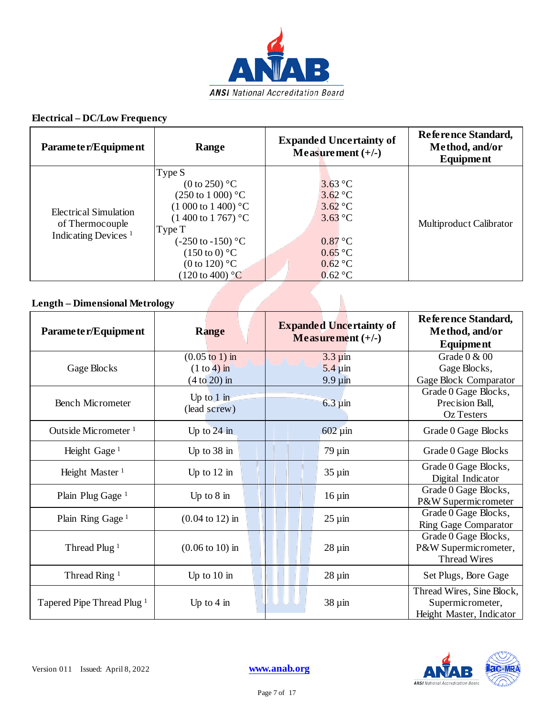

| Parameter/Equipment                                                         | Range                                                                                                                                                                                                                                                 | <b>Expanded Uncertainty of</b><br>Measurement $(+/-)$                                                                                         | Reference Standard,<br>Method, and/or<br>Equipment |  |
|-----------------------------------------------------------------------------|-------------------------------------------------------------------------------------------------------------------------------------------------------------------------------------------------------------------------------------------------------|-----------------------------------------------------------------------------------------------------------------------------------------------|----------------------------------------------------|--|
| Electrical Simulation<br>of Thermocouple<br>Indicating Devices <sup>1</sup> | Type S<br>(0 to 250) °C<br>$(250 \text{ to } 1000)$ °C<br>$(1000 \text{ to } 1400)$ °C<br>$(1400 \text{ to } 1767)$ °C<br>Type T<br>$(-250 \text{ to } -150)$ °C<br>$(150 \text{ to } 0)$ °C<br>(0 to 120) $^{\circ}$ C<br>$(120 \text{ to } 400)$ °C | $3.63 \degree C$<br>$3.62 \degree C$<br>$3.62 \degree C$<br>$3.63 \degree C$<br>$0.87\degree C$<br>$0.65\text{ °C}$<br>$0.62$ °C<br>$0.62$ °C | <b>Multiproduct Calibrator</b>                     |  |
| <b>Length – Dimensional Metrology</b>                                       |                                                                                                                                                                                                                                                       |                                                                                                                                               |                                                    |  |

## **Length – Dimensional Metrology**

| Parameter/Equipment                   | <b>Range</b>                                                         | <b>Expanded Uncertainty of</b><br>Measurement $(+/-)$  | Reference Standard,<br>Method, and/or<br><b>Equipment</b>                 |
|---------------------------------------|----------------------------------------------------------------------|--------------------------------------------------------|---------------------------------------------------------------------------|
| Gage Blocks                           | $(0.05 \text{ to } 1) \text{ in}$<br>$(1 to 4)$ in<br>$(4 to 20)$ in | $3.3 \mu$ in<br>$5.4 \,\mathrm{\mu m}$<br>$9.9 \mu$ in | Grade 0 & 00<br>Gage Blocks,<br>Gage Block Comparator                     |
| <b>Bench Micrometer</b>               | Up to $1$ in<br>(lead screw)                                         | $6.3 \,\mathrm{\mu m}$                                 | Grade 0 Gage Blocks,<br>Precision Ball,<br>Oz Testers                     |
| Outside Micrometer <sup>1</sup>       | Up to $24$ in                                                        | $602 \mu$ in                                           | Grade 0 Gage Blocks                                                       |
| Height Gage <sup>1</sup>              | Up to 38 in                                                          | $79 \mu m$                                             | Grade 0 Gage Blocks                                                       |
| Height Master <sup>1</sup>            | Up to $12$ in                                                        | $35 \mu m$                                             | Grade 0 Gage Blocks,<br>Digital Indicator                                 |
| Plain Plug Gage <sup>1</sup>          | Up to $8$ in                                                         | $16 \mu$ in                                            | Grade 0 Gage Blocks,<br>P&W Supermicrometer                               |
| Plain Ring Gage <sup>1</sup>          | $(0.04 \text{ to } 12) \text{ in}$                                   | $25 \mu$ in                                            | Grade 0 Gage Blocks,<br><b>Ring Gage Comparator</b>                       |
| Thread Plug <sup>1</sup>              | $(0.06 \text{ to } 10) \text{ in}$                                   | $28 \mu m$                                             | Grade 0 Gage Blocks,<br>P&W Supermicrometer,<br><b>Thread Wires</b>       |
| Thread Ring <sup>1</sup>              | Up to $10$ in                                                        | $28 \mu m$                                             | Set Plugs, Bore Gage                                                      |
| Tapered Pipe Thread Plug <sup>1</sup> | Up to $4 \text{ in}$                                                 | $38 \mu m$                                             | Thread Wires, Sine Block,<br>Supermicrometer,<br>Height Master, Indicator |

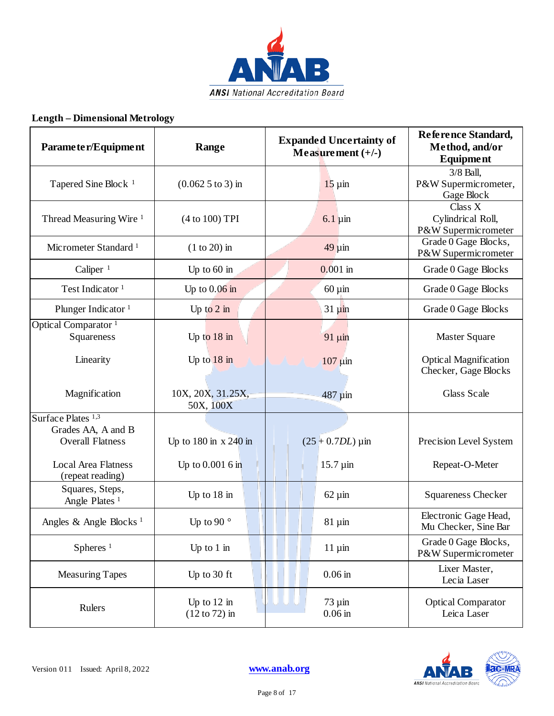

## **Length – Dimensional Metrology**

| Parameter/Equipment                                 | Range                          | <b>Expanded Uncertainty of</b><br>Measurement $(+/-)$ | Reference Standard,<br>Method, and/or<br><b>Equipment</b>    |
|-----------------------------------------------------|--------------------------------|-------------------------------------------------------|--------------------------------------------------------------|
| Tapered Sine Block <sup>1</sup>                     | $(0.0625)$ to 3) in            | $15 \mu$ in                                           | $\overline{3}/8$ Ball,<br>P&W Supermicrometer,<br>Gage Block |
| Thread Measuring Wire <sup>1</sup>                  | (4 to 100) TPI                 | $6.1 \,\mathrm{\mu m}$                                | Class X<br>Cylindrical Roll,<br>P&W Supermicrometer          |
| Micrometer Standard <sup>1</sup>                    | $(1 to 20)$ in                 | $49 \mu m$                                            | Grade 0 Gage Blocks,<br>P&W Supermicrometer                  |
| Caliper $1$                                         | Up to $60$ in                  | $0.001$ in                                            | Grade 0 Gage Blocks                                          |
| Test Indicator <sup>1</sup>                         | Up to $0.06$ in                | $60 \mu$ in                                           | Grade 0 Gage Blocks                                          |
| Plunger Indicator <sup>1</sup>                      | Up to $2$ in                   | $31 \mu$ in                                           | Grade 0 Gage Blocks                                          |
| Optical Comparator <sup>1</sup><br>Squareness       | Up to $18$ in                  | $91 \mu m$                                            | <b>Master Square</b>                                         |
| Linearity                                           | Up to $18$ in                  | $107 \mu$ in                                          | Optical Magnification<br>Checker, Gage Blocks                |
| Magnification                                       | 10X, 20X, 31.25X,<br>50X, 100X | 487 µin                                               | Glass Scale                                                  |
| Surface Plates <sup>1,3</sup><br>Grades AA, A and B |                                |                                                       |                                                              |
| <b>Overall Flatness</b>                             | Up to $180$ in $x$ 240 in      | $(25 + 0.7DL) \,\mu m$                                | Precision Level System                                       |
| <b>Local Area Flatness</b><br>(repeat reading)      | Up to $0.0016$ in              | $15.7 \,\mathrm{\mu m}$                               | Repeat-O-Meter                                               |
| Squares, Steps,<br>Angle Plates <sup>1</sup>        | Up to $18$ in                  | $62 \mu$ in                                           | <b>Squareness Checker</b>                                    |
| Angles & Angle Blocks <sup>1</sup>                  | Up to 90 $^{\circ}$            | $81 \mu m$                                            | Electronic Gage Head,<br>Mu Checker, Sine Bar                |
| Spheres <sup>1</sup>                                | Up to $1$ in                   | $11 \mu$ in                                           | Grade 0 Gage Blocks,<br>P&W Supermicrometer                  |
| <b>Measuring Tapes</b>                              | Up to 30 ft                    | $0.06$ in                                             | Lixer Master,<br>Lecia Laser                                 |
| Rulers                                              | Up to $12$ in<br>(12 to 72) in | $73 \mu$ in<br>$0.06$ in                              | <b>Optical Comparator</b><br>Leica Laser                     |

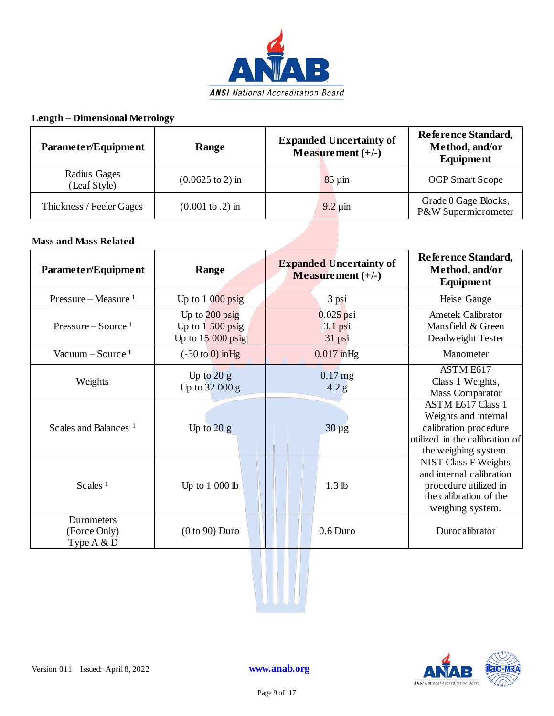

## **Length – Dimensional Metrology**

| Parameter/Equipment          | Range                               | <b>Expanded Uncertainty of</b><br>Measurement $(+/-)$ | Reference Standard,<br>Method, and/or<br>Equipment |
|------------------------------|-------------------------------------|-------------------------------------------------------|----------------------------------------------------|
| Radius Gages<br>(Leaf Style) | $(0.0625 \text{ to } 2) \text{ in}$ | $85 \mu m$                                            | <b>OGP</b> Smart Scope                             |
| Thickness / Feeler Gages     | $(0.001 \text{ to } .2) \text{ in}$ | $9.2 \mu$ in                                          | Grade 0 Gage Blocks,<br>P&W Supermicrometer        |

#### **Mass and Mass Related**

| Parameter/Equipment                         | Range                                                         | <b>Expanded Uncertainty of</b><br>Measurement $(+/-)$ | Reference Standard,<br>Method, and/or<br><b>Equipment</b>                                                                           |
|---------------------------------------------|---------------------------------------------------------------|-------------------------------------------------------|-------------------------------------------------------------------------------------------------------------------------------------|
| Pressure – Measure $1$                      | Up to $1000 \,\text{psig}$                                    | $3$ psi                                               | Heise Gauge                                                                                                                         |
| Pressure – Source $1$                       | Up to $200$ psig<br>Up to $1\,500$ psig<br>Up to $15000$ psig | $0.025$ psi<br>$3.1$ psi<br>31 psi                    | Ametek Calibrator<br>Mansfield & Green<br>Deadweight Tester                                                                         |
| Vacuum – Source $1$                         | $(-30 \text{ to } 0)$ in Hg                                   | $0.017$ in Hg                                         | Manometer                                                                                                                           |
| Weights                                     | Up to $20 g$<br>Up to $32000 g$                               | $0.17$ mg<br>4.2 g                                    | ASTM E617<br>Class 1 Weights,<br>Mass Comparator                                                                                    |
| Scales and Balances <sup>1</sup>            | Up to $20 g$                                                  | $30 \mu g$                                            | <b>ASTM E617 Class 1</b><br>Weights and internal<br>calibration procedure<br>utilized in the calibration of<br>the weighing system. |
| Scales <sup><math>1</math></sup>            | Up to $1\ 000$ lb                                             | 1.3 <sub>lb</sub>                                     | NIST Class F Weights<br>and internal calibration<br>procedure utilized in<br>the calibration of the<br>weighing system.             |
| Durometers<br>(Force Only)<br>Type $A \& D$ | $(0 to 90)$ Duro                                              | $0.6$ Duro                                            | Durocalibrator                                                                                                                      |



W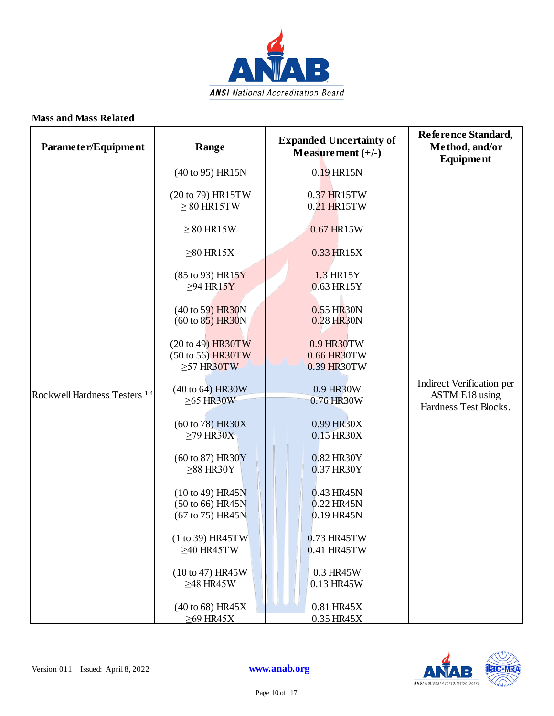

| Parameter/Equipment                      | Range                                                                                                                                                                                                                                                                                                                                                                                                                                                                                         | <b>Expanded Uncertainty of</b><br>Measurement $(+/-)$                                                                                                                                                                                                                                                                                | Reference Standard,<br>Method, and/or<br><b>Equipment</b>                   |
|------------------------------------------|-----------------------------------------------------------------------------------------------------------------------------------------------------------------------------------------------------------------------------------------------------------------------------------------------------------------------------------------------------------------------------------------------------------------------------------------------------------------------------------------------|--------------------------------------------------------------------------------------------------------------------------------------------------------------------------------------------------------------------------------------------------------------------------------------------------------------------------------------|-----------------------------------------------------------------------------|
| Rockwell Hardness Testers <sup>1,4</sup> | (40 to 95) HR15N<br>(20 to 79) HR15TW<br>$\geq 80$ HR15TW<br>$\geq 80$ HR15W<br>$\geq 80$ HR15X<br>(85 to 93) HR15Y<br>$\geq$ 94 HR15Y<br>(40 to 59) HR30N<br>$(60 \text{ to } 85)$ HR30N<br>(20 to 49) HR30TW<br>(50 to 56) HR30TW<br>$\geq$ 57 HR30TW<br>(40 to 64) HR30W<br>$\geq$ 65 HR30W<br>$(60 \text{ to } 78)$ HR30X<br>$\geq$ 79 HR30X<br>(60 to 87) HR30Y<br>$\geq$ 88 HR30Y<br>(10 to 49) HR45N<br>(50 to 66) HR45N<br>(67 to 75) HR45N<br>$(1 to 39)$ HR45TW<br>$\geq$ 40 HR45TW | 0.19 HR15N<br>0.37 HR15TW<br>0.21 HR15TW<br>0.67 HR15W<br>0.33 HR15X<br>1.3 HR15Y<br>0.63 HR15Y<br>0.55 HR30N<br>0.28 HR30N<br>0.9 HR30TW<br>0.66 HR30TW<br>0.39 HR30TW<br>0.9 HR30W<br>0.76 HR30W<br>0.99 HR30X<br>0.15 HR30X<br>0.82 HR30Y<br>0.37 HR30Y<br>0.43 HR45N<br>0.22 HR45N<br>$0.19$ HR45N<br>0.73 HR45TW<br>0.41 HR45TW | Indirect Verification per<br><b>ASTM E18</b> using<br>Hardness Test Blocks. |
|                                          | (10 to 47) HR45W<br>$\geq$ 48 HR45W<br>$(40 \text{ to } 68)$ HR45X<br>$\geq$ 69 HR45X                                                                                                                                                                                                                                                                                                                                                                                                         | 0.3 HR45W<br>0.13 HR45W<br>0.81 HR45X<br>0.35 HR45X                                                                                                                                                                                                                                                                                  |                                                                             |

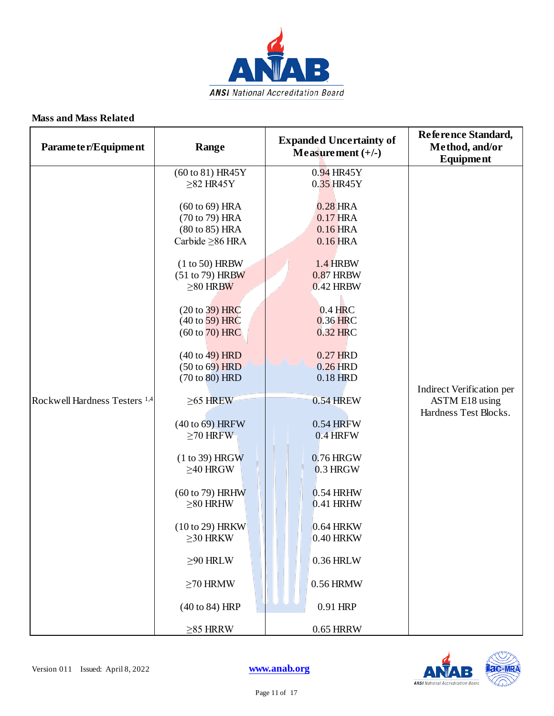

| Parameter/Equipment                      | Range                                                                               | <b>Expanded Uncertainty of</b><br>Measurement $(+/-)$ | Reference Standard,<br>Method, and/or<br><b>Equipment</b> |
|------------------------------------------|-------------------------------------------------------------------------------------|-------------------------------------------------------|-----------------------------------------------------------|
|                                          | (60 to 81) HR45Y<br>$\geq$ 82 HR45Y                                                 | $0.94$ HR45Y<br>0.35 HR45Y                            | Indirect Verification per                                 |
|                                          | $(60 \text{ to } 69)$ HRA<br>(70 to 79) HRA<br>(80 to 85) HRA<br>Carbide ≥86 HRA    | $0.28$ HRA<br>0.17 HRA<br>$0.16$ HRA<br>$0.16$ HRA    |                                                           |
|                                          | $(1 to 50)$ HRBW<br>(51 to 79) HRBW<br>$\geq 80$ HRBW                               | <b>1.4 HRBW</b><br><b>0.87 HRBW</b><br>0.42 HRBW      |                                                           |
|                                          | $(20 \text{ to } 39)$ HRC<br>$(40 \text{ to } 59)$ HRC<br>$(60 \text{ to } 70)$ HRC | $0.4$ HRC<br>$0.36$ HRC<br>0.32 HRC                   |                                                           |
|                                          | $(40 \text{ to } 49)$ HRD<br>$(50 \text{ to } 69)$ HRD<br>(70 to 80) HRD            | 0.27 HRD<br>$0.26$ HRD<br>0.18 HRD                    |                                                           |
| Rockwell Hardness Testers <sup>1,4</sup> | $\geq$ 65 HREW<br>(40 to 69) HRFW<br>$\geq$ 70 HRFW                                 | <b>0.54 HREW</b><br>0.54 HRFW<br>$0.4$ HRFW           | ASTM E18 using<br>Hardness Test Blocks.                   |
|                                          | $(1 to 39)$ HRGW<br>$\geq$ 40 HRGW                                                  | 0.76 HRGW<br>$0.3$ HRGW                               |                                                           |
|                                          | (60 to 79) HRHW<br>$\geq$ 80 HRHW                                                   | $0.54$ HRHW<br>0.41 HRHW                              |                                                           |
|                                          | (10 to 29) HRKW<br>$\geq$ 30 HRKW                                                   | 0.64 HRKW<br>0.40 HRKW                                |                                                           |
|                                          | $\geq$ 90 HRLW                                                                      | $0.36$ HRLW                                           |                                                           |
|                                          | $\geq$ 70 HRMW                                                                      | $0.56$ HRMW                                           |                                                           |
|                                          | (40 to 84) HRP                                                                      | 0.91 HRP                                              |                                                           |
|                                          | $\geq$ 85 HRRW                                                                      | 0.65 HRRW                                             |                                                           |

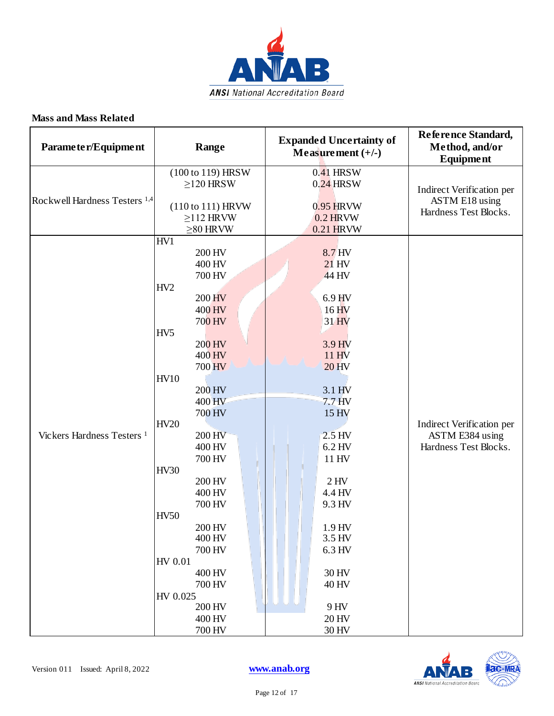

| Parameter/Equipment                      | Range                                                                                                                                                                                                                                                                                                                                                                                                   | <b>Expanded Uncertainty of</b><br>Measurement $(+/-)$                                                                                                                                                                                                                                            | Reference Standard,<br>Method, and/or<br>Equipment                           |
|------------------------------------------|---------------------------------------------------------------------------------------------------------------------------------------------------------------------------------------------------------------------------------------------------------------------------------------------------------------------------------------------------------------------------------------------------------|--------------------------------------------------------------------------------------------------------------------------------------------------------------------------------------------------------------------------------------------------------------------------------------------------|------------------------------------------------------------------------------|
| Rockwell Hardness Testers <sup>1,4</sup> | (100 to 119) HRSW<br>$\geq$ 120 HRSW<br>(110 to 111) HRVW<br>$\geq$ 112 HRVW<br>$\geq$ 80 HRVW                                                                                                                                                                                                                                                                                                          | $0.41$ HRSW<br>$0.24$ HRSW<br>0.95 HRVW<br>$0.2$ HRVW<br>0.21 HRVW                                                                                                                                                                                                                               | Indirect Verification per<br><b>ASTM E18</b> using<br>Hardness Test Blocks.  |
| Vickers Hardness Testers <sup>1</sup>    | HV1<br>200 HV<br>400 HV<br>700 HV<br>HV <sub>2</sub><br><b>200 HV</b><br>400 HV<br>700 HV<br>HV <sub>5</sub><br>200 HV<br>400 HV<br>700 HV<br><b>HV10</b><br>200 HV<br>400 HV<br>700 HV<br><b>HV20</b><br>200 HV<br>400 HV<br>700 HV<br><b>HV30</b><br>200 HV<br>400 HV<br>700 HV<br><b>HV50</b><br>200 HV<br>400 HV<br>700 HV<br>HV 0.01<br>400 HV<br>700 HV<br>HV 0.025<br>200 HV<br>400 HV<br>700 HV | 8.7 HV<br>$21$ HV<br>44 HV<br>$6.9$ HV<br>16 <sub>HV</sub><br>31 HV<br>3.9 HV<br>11H <sub>N</sub><br><b>20 HV</b><br>3.1 HV<br>7.7 <sub>HV</sub><br>15 HV<br>$2.5$ HV<br>6.2 HV<br>11 HV<br>$2$ HV<br>4.4 HV<br>9.3 HV<br>1.9 HV<br>3.5 HV<br>6.3 HV<br>30 HV<br>40 HV<br>9 HV<br>20 HV<br>30 HV | Indirect Verification per<br><b>ASTM E384</b> using<br>Hardness Test Blocks. |

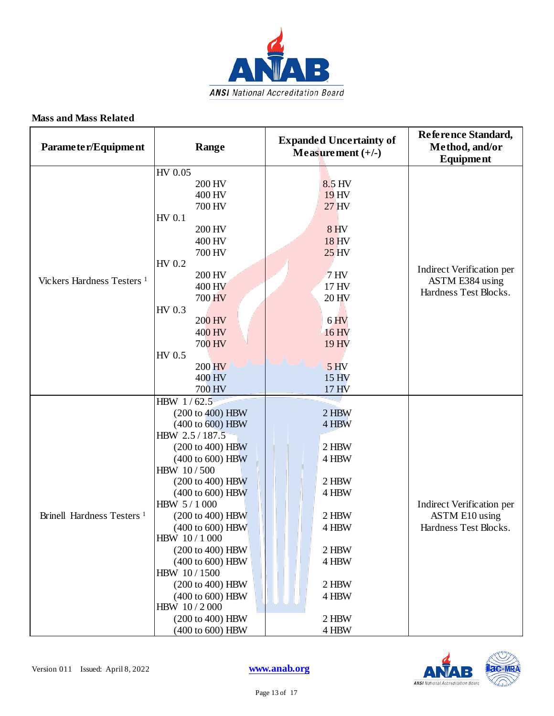

| Parameter/Equipment                   | Range                                                                                                                                                                                                                                                                                                                                                                                                                | <b>Expanded Uncertainty of</b><br>Measurement $(+/-)$                                                                      | Reference Standard,<br>Method, and/or<br><b>Equipment</b>                   |
|---------------------------------------|----------------------------------------------------------------------------------------------------------------------------------------------------------------------------------------------------------------------------------------------------------------------------------------------------------------------------------------------------------------------------------------------------------------------|----------------------------------------------------------------------------------------------------------------------------|-----------------------------------------------------------------------------|
| Vickers Hardness Testers <sup>1</sup> | HV 0.05<br>200 HV<br>400 HV<br>700 HV<br>HV 0.1<br>200 HV<br>400 HV<br>700 HV<br>HV 0.2<br>200 HV<br>400 HV                                                                                                                                                                                                                                                                                                          | 8.5 HV<br>19 HV<br>27 HV<br><b>8 HV</b><br>18 HV<br>25 <sub>HV</sub><br>7 <sub>HV</sub><br>17 HV                           | Indirect Verification per<br>ASTM E384 using                                |
|                                       | 700 HV<br>HV 0.3<br>200 HV<br>400 HV<br>700 HV<br>HV 0.5<br>200 HV<br>400 HV<br>700 HV                                                                                                                                                                                                                                                                                                                               | 20 HV<br>6 <sub>HV</sub><br>16 HV<br>19 HV<br>5 <sub>HV</sub><br>15 HV<br>17 HV                                            | Hardness Test Blocks.                                                       |
| Brinell Hardness Testers <sup>1</sup> | HBW 1/62.5<br>(200 to 400) HBW<br>(400 to 600) HBW<br>HBW 2.5 / 187.5<br>(200 to 400) HBW<br>$(400 \text{ to } 600)$ HBW<br>HBW 10/500<br>(200 to 400) HBW<br>(400 to 600) HBW<br>HBW 5/1000<br>(200 to 400) HBW<br>(400 to 600) HBW<br>HBW 10/1000<br>(200 to 400) HBW<br>$(400 \text{ to } 600)$ HBW<br>HBW 10/1500<br>(200 to 400) HBW<br>(400 to 600) HBW<br>HBW 10/2000<br>(200 to 400) HBW<br>(400 to 600) HBW | 2 HBW<br>4 HBW<br>2 HBW<br>4 HBW<br>2 HBW<br>4 HBW<br>2 HBW<br>4 HBW<br>2 HBW<br>4 HBW<br>2 HBW<br>4 HBW<br>2 HBW<br>4 HBW | Indirect Verification per<br><b>ASTM E10</b> using<br>Hardness Test Blocks. |

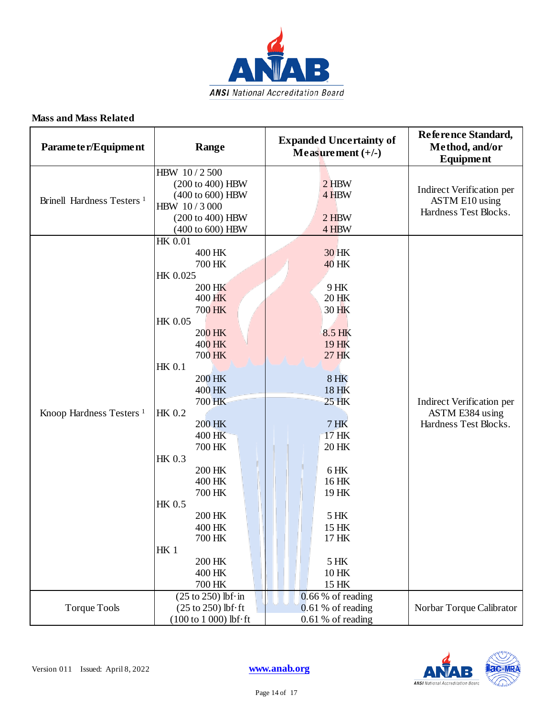

| Parameter/Equipment                   | Range                                                                                                                                                                                                                                                                                                                                                         | <b>Expanded Uncertainty of</b><br>Measurement $(+/-)$                                                                                                                                                                   | Reference Standard,<br>Method, and/or<br><b>Equipment</b>                   |
|---------------------------------------|---------------------------------------------------------------------------------------------------------------------------------------------------------------------------------------------------------------------------------------------------------------------------------------------------------------------------------------------------------------|-------------------------------------------------------------------------------------------------------------------------------------------------------------------------------------------------------------------------|-----------------------------------------------------------------------------|
| Brinell Hardness Testers <sup>1</sup> | HBW 10/2500<br>(200 to 400) HBW<br>(400 to 600) HBW<br>HBW 10/3000<br>(200 to 400) HBW<br>(400 to 600) HBW                                                                                                                                                                                                                                                    | $2$ HBW<br>4 HBW<br>$2$ HBW<br>4 HBW                                                                                                                                                                                    | Indirect Verification per<br><b>ASTM E10</b> using<br>Hardness Test Blocks. |
| Knoop Hardness Testers <sup>1</sup>   | <b>HK 0.01</b><br>400 HK<br>700 HK<br>HK 0.025<br>200 HK<br>400 HK<br>700 HK<br>HK 0.05<br>200 HK<br>400 HK<br>700 HK<br><b>HK 0.1</b><br><b>200 HK</b><br>400 HK<br>700 HK<br><b>HK 0.2</b><br>200 HK<br>400 HK<br>700 HK<br><b>HK 0.3</b><br>200 HK<br>400 HK<br>700 HK<br>HK 0.5<br>200 HK<br>400 HK<br>700 HK<br><b>HK1</b><br>200 HK<br>400 HK<br>700 HK | 30 HK<br><b>40 HK</b><br>9 HK<br>20 HK<br>30 HK<br>8.5 HK<br>19 HK<br>27 HK<br>$8$ HK<br>18 HK<br><b>25 HK</b><br>$7$ HK<br>17 HK<br>20 HK<br>6HK<br>16 HK<br>19 HK<br>5 HK<br>15 HK<br>17 HK<br>5 HK<br>10 HK<br>15 HK | Indirect Verification per<br>ASTM E384 using<br>Hardness Test Blocks.       |
| <b>Torque Tools</b>                   | $(25 \text{ to } 250)$ lbf·in<br>$(25 \text{ to } 250)$ lbf $\cdot$ ft<br>$(100 to 1 000)$ lbf $\cdot$ ft                                                                                                                                                                                                                                                     | $0.66%$ of reading<br>$0.61%$ of reading<br>0.61 % of reading                                                                                                                                                           | Norbar Torque Calibrator                                                    |

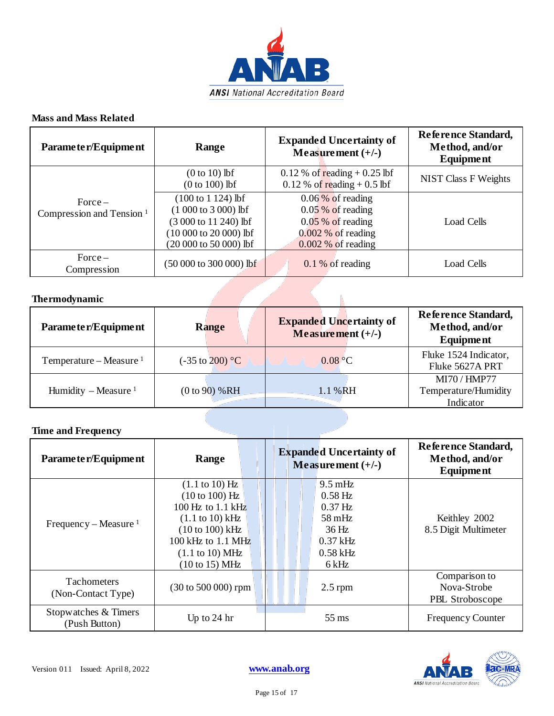

| Parameter/Equipment                               | Range                                                                                                                                     | <b>Expanded Uncertainty of</b><br>Measurement $(+/-)$                                                             | Reference Standard,<br>Method, and/or<br>Equipment |
|---------------------------------------------------|-------------------------------------------------------------------------------------------------------------------------------------------|-------------------------------------------------------------------------------------------------------------------|----------------------------------------------------|
|                                                   | $(0 to 10)$ lbf<br>$(0 to 100)$ lbf                                                                                                       | $0.12\%$ of reading + 0.25 lbf<br>$0.12\%$ of reading + 0.5 lbf                                                   | <b>NIST Class F Weights</b>                        |
| $Force -$<br>Compression and Tension <sup>1</sup> | $(100 \text{ to } 1124) \text{ lbf}$<br>$(1000 to 3000)$ lbf<br>(3 000 to 11 240) lbf<br>$(10000 to 20000)$ lbf<br>(20 000 to 50 000) lbf | $0.06\%$ of reading<br>$0.05\%$ of reading<br>$0.05\%$ of reading<br>$0.002\%$ of reading<br>$0.002\%$ of reading | Load Cells                                         |
| $Force -$<br>Compression                          | (50 000 to 300 000) lbf                                                                                                                   | $0.1\%$ of reading                                                                                                | Load Cells                                         |

### **Thermodynamic**

| Parameter/Equipment       | Range                              | <b>Expanded Uncertainty of</b><br>Measurement $(+/-)$ | Reference Standard,<br>Method, and/or<br>Equipment |
|---------------------------|------------------------------------|-------------------------------------------------------|----------------------------------------------------|
| Temperature – Measure $1$ | $(-35 \text{ to } 200) \text{ °C}$ | 0.08 °C                                               | Fluke 1524 Indicator,<br>Fluke 5627A PRT           |
| Humidity – Measure $1$    | (0 to 90) % RH                     | 1.1 % RH                                              | MI70 / HMP77<br>Temperature/Humidity<br>Indicator  |

N

## **Time and Frequency**

| Parameter/Equipment                      | Range                                               | <b>Expanded Uncertainty of</b><br>Measurement $(+/-)$ | Reference Standard,<br>Method, and/or<br>Equipment |
|------------------------------------------|-----------------------------------------------------|-------------------------------------------------------|----------------------------------------------------|
|                                          | $(1.1 \text{ to } 10) \text{ Hz}$<br>(10 to 100) Hz | $9.5 \text{ mHz}$<br>$0.58$ Hz                        |                                                    |
|                                          | $100$ Hz to $1.1$ kHz                               | $0.37$ Hz                                             |                                                    |
|                                          | $(1.1 \text{ to } 10) \text{ kHz}$                  | $58 \text{ mHz}$                                      | Keithley 2002                                      |
| Frequency – Measure $1$                  | $(10 to 100)$ kHz                                   | 36 Hz                                                 | 8.5 Digit Multimeter                               |
|                                          | $100$ kHz to $1.1$ MHz                              | $0.37$ kHz                                            |                                                    |
|                                          | (1.1 to 10) MHz                                     | $0.58$ kHz                                            |                                                    |
|                                          | (10 to 15) MHz                                      | 6 kHz                                                 |                                                    |
| <b>Tachometers</b><br>(Non-Contact Type) | $(30 \text{ to } 500 \text{ 000})$ rpm              | $2.5$ rpm                                             | Comparison to<br>Nova-Strobe<br>PBL Stroboscope    |
| Stopwatches & Timers<br>(Push Button)    | Up to $24 \text{ hr}$                               | $55 \,\mathrm{ms}$                                    | <b>Frequency Counter</b>                           |

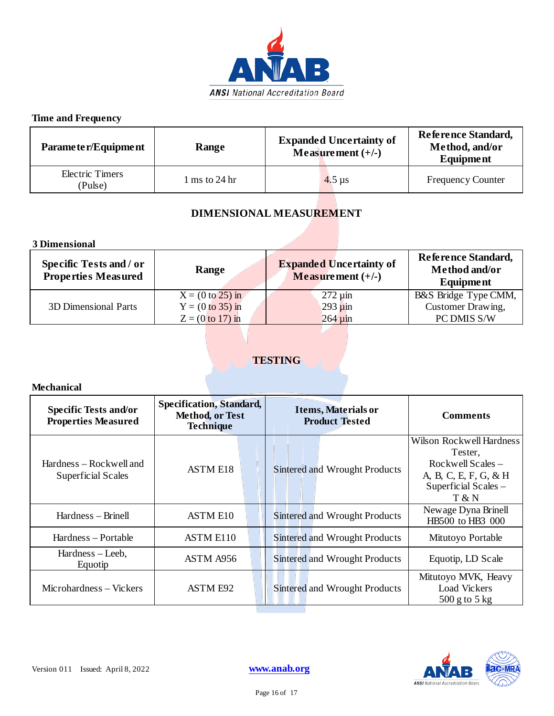

## **Time and Frequency**

| Parameter/Equipment        | Range                             | <b>Expanded Uncertainty of</b><br>Measurement $(+/-)$ | Reference Standard,<br>Method, and/or<br><b>Equipment</b> |
|----------------------------|-----------------------------------|-------------------------------------------------------|-----------------------------------------------------------|
| Electric Timers<br>(Pulse) | $1 \text{ ms}$ to $24 \text{ hr}$ | $4.5 \,\mathrm{\mu s}$                                | <b>Frequency Counter</b>                                  |

## **DIMENSIONAL MEASUREMENT**

**3 Dimensional**

| <b>Specific Tests and / or</b><br><b>Properties Measured</b> | Range              | <b>Expanded Uncertainty of</b><br>Measurement $(+/-)$ | <b>Reference Standard,</b><br>Method and/or<br><b>Equipment</b> |
|--------------------------------------------------------------|--------------------|-------------------------------------------------------|-----------------------------------------------------------------|
|                                                              | $X = (0 to 25) in$ | $272 \mu m$                                           | B&S Bridge Type CMM,                                            |
| <b>3D Dimensional Parts</b>                                  | $Y = (0 to 35) in$ | $293 \mu m$                                           | Customer Drawing,                                               |
|                                                              | $Z = (0 to 17)$ in | $264 \,\mathrm{\upmu m}$                              | PC DMIS S/W                                                     |

## **TESTING**

**Mechanical**

| <b>Specific Tests and/or</b><br><b>Properties Measured</b> | <b>Specification, Standard,</b><br>Method, or Test<br><b>Technique</b> | <b>Items, Materials or</b><br><b>Product Tested</b> | <b>Comments</b>                                                                                                           |
|------------------------------------------------------------|------------------------------------------------------------------------|-----------------------------------------------------|---------------------------------------------------------------------------------------------------------------------------|
| Hardness – Rockwell and<br><b>Superficial Scales</b>       | <b>ASTM E18</b>                                                        | <b>Sintered and Wrought Products</b>                | <b>Wilson Rockwell Hardness</b><br>Tester,<br>Rockwell Scales –<br>A, B, C, E, F, G, & H<br>Superficial Scales -<br>T & N |
| Hardness – Brinell                                         | <b>ASTM E10</b>                                                        | Sintered and Wrought Products                       | Newage Dyna Brinell<br>HB500 to HB3 000                                                                                   |
| Hardness – Portable                                        | ASTM E110                                                              | Sintered and Wrought Products                       | Mitutoyo Portable                                                                                                         |
| Hardness – Leeb,<br>Equotip                                | ASTM A956                                                              | <b>Sintered and Wrought Products</b>                | Equotip, LD Scale                                                                                                         |
| Microhardness – Vickers                                    | <b>ASTM E92</b>                                                        | Sintered and Wrought Products                       | Mitutoyo MVK, Heavy<br><b>Load Vickers</b><br>$500$ g to $5$ kg                                                           |